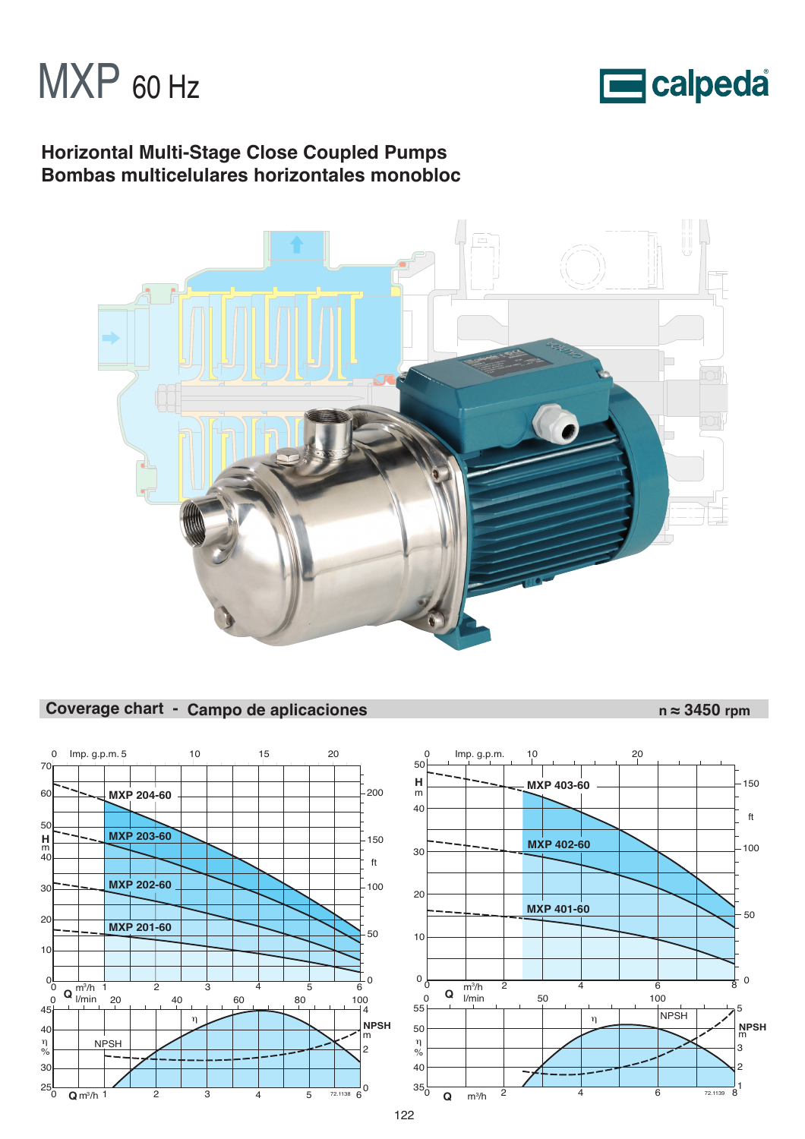



# **Horizontal Multi-Stage Close Coupled Pumps Bombas multicelulares horizontales monobloc**



# Coverage chart - Campo de aplicaciones n ≈ 3450 rpm



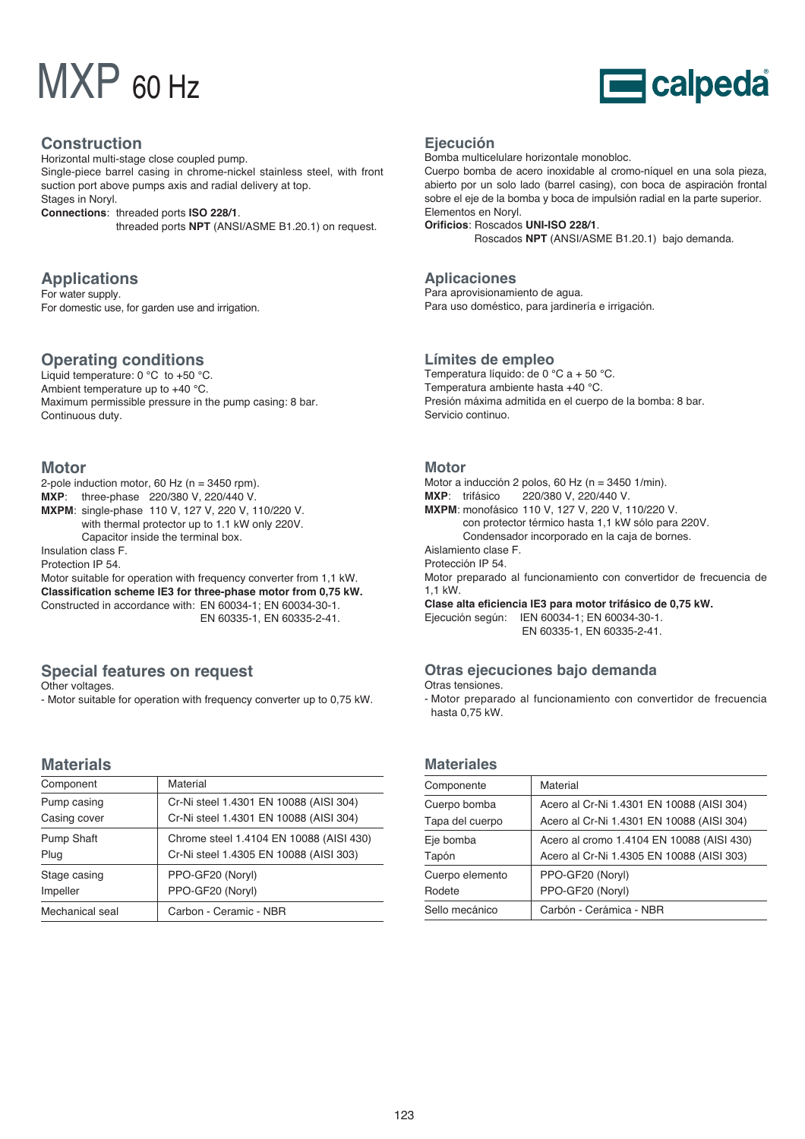# MXP 60 Hz



## **Construction**

Horizontal multi-stage close coupled pump. Single-piece barrel casing in chrome-nickel stainless steel, with front suction port above pumps axis and radial delivery at top. Stages in Noryl. **Connections**: threaded ports **ISO 228/1**. threaded ports **NPT** (ANSI/ASME B1.20.1) on request.

**Applications**

For water supply. For domestic use, for garden use and irrigation.

## **Operating conditions**

Liquid temperature: 0 °C to +50 °C. Ambient temperature up to +40 °C. Maximum permissible pressure in the pump casing: 8 bar. Continuous duty.

## **Motor**

2-pole induction motor, 60 Hz ( $n = 3450$  rpm). **MXP**: three-phase 220/380 V, 220/440 V. **MXPM**: single-phase 110 V, 127 V, 220 V, 110/220 V. with thermal protector up to 1.1 kW only 220V. Capacitor inside the terminal box. Insulation class F. Protection IP 54. Motor suitable for operation with frequency converter from 1,1 kW.

**Classification scheme IE3 for three-phase motor from 0,75 kW.** Constructed in accordance with: EN 60034-1; EN 60034-30-1. EN 60335-1, EN 60335-2-41.

# **Special features on request**

Other voltages.

- Motor suitable for operation with frequency converter up to 0,75 kW.

## **Materials**

| Component         | Material                                |
|-------------------|-----------------------------------------|
| Pump casing       | Cr-Ni steel 1.4301 EN 10088 (AISI 304)  |
| Casing cover      | Cr-Ni steel 1.4301 EN 10088 (AISI 304)  |
| <b>Pump Shaft</b> | Chrome steel 1.4104 EN 10088 (AISI 430) |
| Plug              | Cr-Ni steel 1.4305 EN 10088 (AISI 303)  |
| Stage casing      | PPO-GF20 (Noryl)                        |
| Impeller          | PPO-GF20 (Noryl)                        |
| Mechanical seal   | Carbon - Ceramic - NBR                  |

### **Ejecución**

Bomba multicelulare horizontale monobloc.

Cuerpo bomba de acero inoxidable al cromo-níquel en una sola pieza, abierto por un solo lado (barrel casing), con boca de aspiración frontal sobre el eje de la bomba y boca de impulsión radial en la parte superior. Elementos en Noryl.

**Orificios**: Roscados **UNI-ISO 228/1**.

Roscados **NPT** (ANSI/ASME B1.20.1) bajo demanda.

## **Aplicaciones**

Para aprovisionamiento de agua. Para uso doméstico, para jardinería e irrigación.

### **Límites de empleo**

Temperatura líquido: de 0 °C a + 50 °C. Temperatura ambiente hasta +40 °C. Presión máxima admitida en el cuerpo de la bomba: 8 bar. Servicio continuo.

#### **Motor**

Motor a inducción 2 polos, 60 Hz (n = 3450 1/min). **MXP**: trifásico 220/380 V, 220/440 V. **MXPM**: monofásico 110 V, 127 V, 220 V, 110/220 V. con protector térmico hasta 1,1 kW sólo para 220V. Condensador incorporado en la caja de bornes. Aislamiento clase F. Protección IP 54. Motor preparado al funcionamiento con convertidor de frecuencia de 1,1 kW. **Clase alta eficiencia IE3 para motor trifásico de 0,75 kW.** Ejecución según: IEN 60034-1; EN 60034-30-1. EN 60335-1, EN 60335-2-41.

## **Otras ejecuciones bajo demanda**

Otras tensiones.

- Motor preparado al funcionamiento con convertidor de frecuencia hasta 0,75 kW.

## **Materiales**

| Componente      | Material                                  |
|-----------------|-------------------------------------------|
| Cuerpo bomba    | Acero al Cr-Ni 1.4301 EN 10088 (AISI 304) |
| Tapa del cuerpo | Acero al Cr-Ni 1.4301 EN 10088 (AISI 304) |
| Eje bomba       | Acero al cromo 1.4104 EN 10088 (AISI 430) |
| Tapón           | Acero al Cr-Ni 1.4305 EN 10088 (AISI 303) |
| Cuerpo elemento | PPO-GF20 (Noryl)                          |
| Rodete          | PPO-GF20 (Noryl)                          |
| Sello mecánico  | Carbón - Cerámica - NBR                   |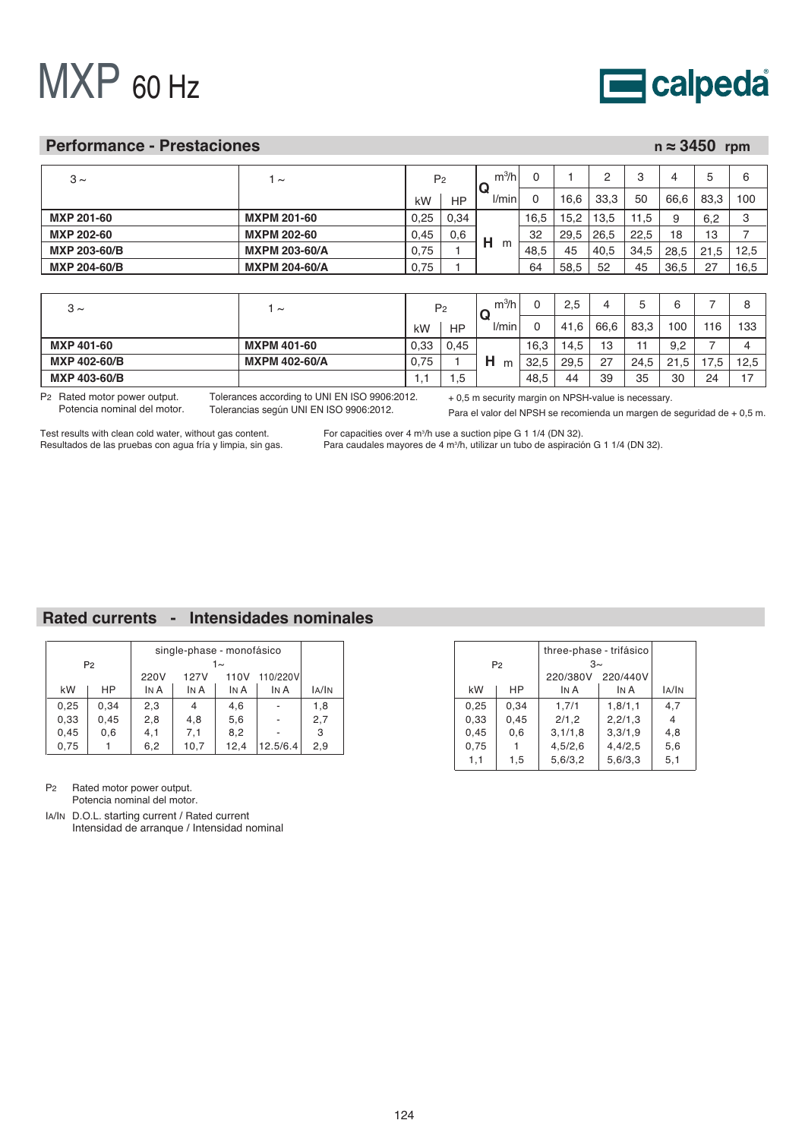# MXP 60 Hz



### **Performance - Prestaciones**

|  | $n \approx 3450$ rpm |  |
|--|----------------------|--|
|--|----------------------|--|

| $3 \sim$            | $\sim$               | P <sub>2</sub> |      | $m^3/h$ |      |      |      | 3    |      |          |      |
|---------------------|----------------------|----------------|------|---------|------|------|------|------|------|----------|------|
|                     |                      | kW             | HP   | l/min   |      | 16.6 | 33,3 | 50   | 66.6 | 83,3     | 100  |
| <b>MXP 201-60</b>   | <b>MXPM 201-60</b>   | 0,25           | 0,34 |         | 16,5 | 15.2 | 13.5 | 11,5 | 9    | 6.2      | 3    |
| <b>MXP 202-60</b>   | <b>MXPM 202-60</b>   | 0.45           | 0,6  |         | 32   | 29,5 | 26,5 | 22,5 | 18   | IЗ       |      |
| <b>MXP 203-60/B</b> | <b>MXPM 203-60/A</b> | 0,75           |      | н<br>m  | 48,5 | 45   | 40,5 | 34,5 | 28.5 | 21<br>.5 | 12,5 |
| <b>MXP 204-60/B</b> | <b>MXPM 204-60/A</b> | 0,75           |      |         | 64   | 58,5 | 52   | 45   | 36,5 | - 27     | 16,5 |
|                     |                      |                |      |         |      |      |      |      |      |          |      |

| $3 \sim$          | $\tilde{}$           | P <sub>2</sub> |           | $m^3/h$      |      | 2,5  |      |      | ь    |     |               |
|-------------------|----------------------|----------------|-----------|--------------|------|------|------|------|------|-----|---------------|
|                   |                      | kW             | <b>HP</b> | <i>l/min</i> |      | 41.6 | 66.6 | 83.3 | 100  | 116 | 133           |
| <b>MXP 401-60</b> | <b>MXPM 401-60</b>   | 0.33           | 0,45      |              | 16,3 | 14,5 | 13   |      | 9.2  |     |               |
| MXP 402-60/B      | <b>MXPM 402-60/A</b> | 0.75           |           | н<br>m       | 32.5 | 29,5 | 27   | 24.5 | 21.5 |     | 12,5          |
| MXP 403-60/B      |                      | . .            | -<br>c.   |              | 48,5 | 44   | 39   | 35   | 30   | 24  | $\rightarrow$ |

P2 Rated motor power output. Potencia nominal del motor. Tolerances according to UNI EN ISO 9906:2012. Tolerancias según UNI EN ISO 9906:2012.

+ 0,5 m security margin on NPSH-value is necessary.

Para el valor del NPSH se recomienda un margen de seguridad de + 0,5 m.

Test results with clean cold water, without gas content. Resultados de las pruebas con agua fría y limpia, sin gas.

For capacities over 4 m<sup>3</sup>/h use a suction pipe G 1 1/4 (DN 32). Para caudales mayores de 4 m<sup>3</sup>/h, utilizar un tubo de aspiración G 1 1/4 (DN 32).

# **Rated currents - Intensidades nominales**

|      | P <sub>2</sub> |      | single-phase - monofásico | 1 $\sim$ |          |       |
|------|----------------|------|---------------------------|----------|----------|-------|
|      |                | 220V | 110/220V                  |          |          |       |
| kW   | НP             | IN A | IN A                      | IN A     | IN A     | IA/IN |
| 0,25 | 0.34           | 2,3  | 4                         | 4,6      |          | 1,8   |
| 0,33 | 0,45           | 2,8  | 4,8                       | 5,6      |          | 2,7   |
| 0,45 | 0,6            | 4,1  | 7,1                       | 8,2      |          | 3     |
| 0,75 |                | 6,2  | 10,7                      | 12,4     | 12.5/6.4 | 2,9   |

P2 Rated motor power output. Potencia nominal del motor.

IA/IN D.O.L. starting current / Rated current Intensidad de arranque / Intensidad nominal

three-phase - trifásico  $P<sub>2</sub>$ 3~ 220/380V 220/440V kW  $HP$   $INA$ IN A IA/IN 0,25 0,34 1,7/1 1,8/1,1  $4,7$ 0,33 0,45 2/1,2 2,2/1,3 4 0,45 0,6 3,1/1,8 3,3/1,9 4,8 0,75 4,5/2,6 4,4/2,5 5,6 1 1,1 1,5 5,6/3,2 5,6/3,3 5,1